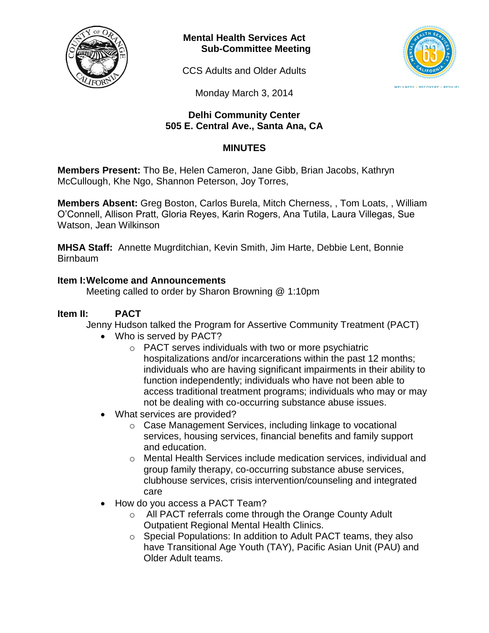

**Mental Health Services Act Sub-Committee Meeting**

CCS Adults and Older Adults



Monday March 3, 2014

### **Delhi Community Center 505 E. Central Ave., Santa Ana, CA**

# **MINUTES**

**Members Present:** Tho Be, Helen Cameron, Jane Gibb, Brian Jacobs, Kathryn McCullough, Khe Ngo, Shannon Peterson, Joy Torres,

**Members Absent:** Greg Boston, Carlos Burela, Mitch Cherness, , Tom Loats, , William O'Connell, Allison Pratt, Gloria Reyes, Karin Rogers, Ana Tutila, Laura Villegas, Sue Watson, Jean Wilkinson

**MHSA Staff:** Annette Mugrditchian, Kevin Smith, Jim Harte, Debbie Lent, Bonnie Birnbaum

### **Item I:Welcome and Announcements**

Meeting called to order by Sharon Browning @ 1:10pm

## **Item II: PACT**

Jenny Hudson talked the Program for Assertive Community Treatment (PACT)

- Who is served by PACT?
	- o PACT serves individuals with two or more psychiatric hospitalizations and/or incarcerations within the past 12 months; individuals who are having significant impairments in their ability to function independently; individuals who have not been able to access traditional treatment programs; individuals who may or may not be dealing with co-occurring substance abuse issues.
- What services are provided?
	- o Case Management Services, including linkage to vocational services, housing services, financial benefits and family support and education.
	- o Mental Health Services include medication services, individual and group family therapy, co-occurring substance abuse services, clubhouse services, crisis intervention/counseling and integrated care
- How do you access a PACT Team?
	- o All PACT referrals come through the Orange County Adult Outpatient Regional Mental Health Clinics.
	- o Special Populations: In addition to Adult PACT teams, they also have Transitional Age Youth (TAY), Pacific Asian Unit (PAU) and Older Adult teams.